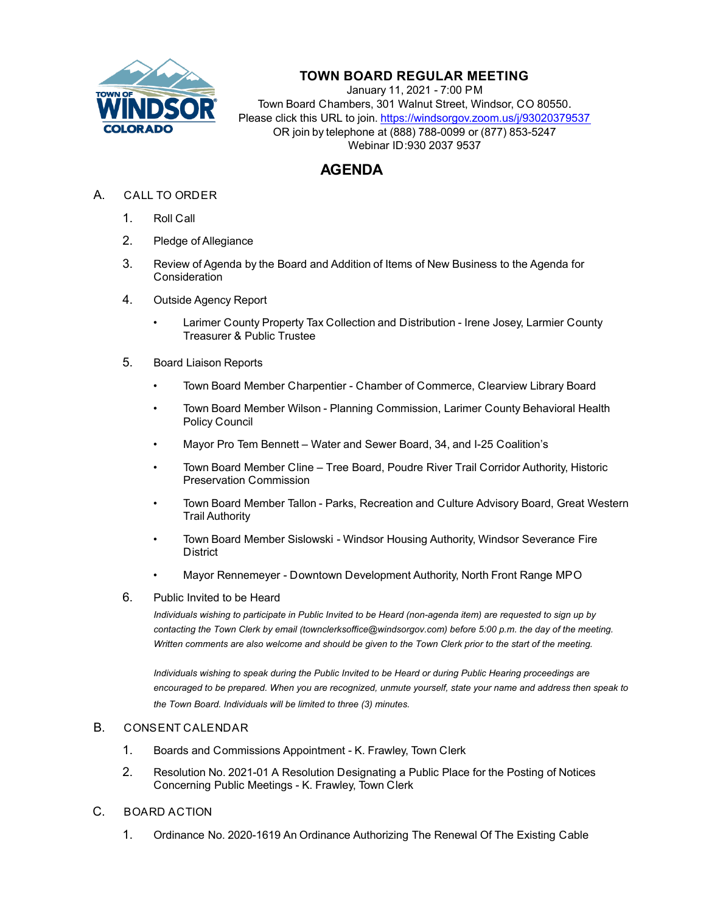

## **TOWN BOARD REGULAR MEETING**

January 11, 2021 - 7:00 PM Town Board Chambers, 301 Walnut Street, Windsor, CO 80550. Please click this URL to join. https://windsorgov.zoom.us/j/93020379537 OR join by telephone at (888) 788-0099 or (877) 853-5247 Webinar ID:930 2037 9537

## **AGENDA**

- A. CALL TO ORDER
	- 1. Roll Call
	- 2. Pledge of Allegiance
	- 3. Review of Agenda by the Board and Addition of Items of New Business to the Agenda for **Consideration**
	- 4. Outside Agency Report
		- • [Larimer County Property Tax Collection and Distribution Irene Josey, Larmier Count](file:///C:/Windows/TEMP/CoverSheet.aspx?ItemID=1200&MeetingID=220)y Treasurer & Public Trustee
	- 5. Board Liaison Reports
		- Town Board Member Charpentier Chamber of Commerce, Clearview Library Board
		- Town Board Member Wilson Planning Commission, Larimer County Behavioral Health Policy Council
		- Mayor Pro Tem Bennett Water and Sewer Board, 34, and I-25 Coalition's
		- Town Board Member Cline Tree Board, Poudre River Trail Corridor Authority, Historic Preservation Commission
		- Town Board Member Tallon Parks, Recreation and Culture Advisory Board, Great Western Trail Authority
		- Town Board Member Sislowski Windsor Housing Authority, Windsor Severance Fire **District**
		- Mayor Rennemeyer Downtown Development Authority, North Front Range MPO
	- 6. Public Invited to be Heard

*Individuals wishing to participate in Public Invited to be Heard (non-agenda item) are requested to sign up by contacting the Town Clerk by email (townclerksoffice@windsorgov.com) before 5:00 p.m. the day of the meeting. Written comments are also welcome and should be given to the Town Clerk prior to the start of the meeting.*

*Individuals wishing to speak during the Public Invited to be Heard or during Public Hearing proceedings are encouraged to be prepared. When you are recognized, unmute yourself, state your name and address then speak to the Town Board. Individuals will be limited to three (3) minutes.* 

## B. CONSENT CALENDAR

- 1. [Boards and Commissions Appointment K. Frawley, Town Clerk](file:///C:/Windows/TEMP/CoverSheet.aspx?ItemID=1190&MeetingID=220)
- 2. [Resolution No. 2021-01 A Resolution Designating a Public Place for the Posting of Notice](file:///C:/Windows/TEMP/CoverSheet.aspx?ItemID=1186&MeetingID=220)s Concerning Public Meetings - K. Frawley, Town Clerk
- C. BOARD ACTION
	- 1. Ordinance No. 2020-1619 An Ordinance Authorizing The Renewal Of The Existing Cable